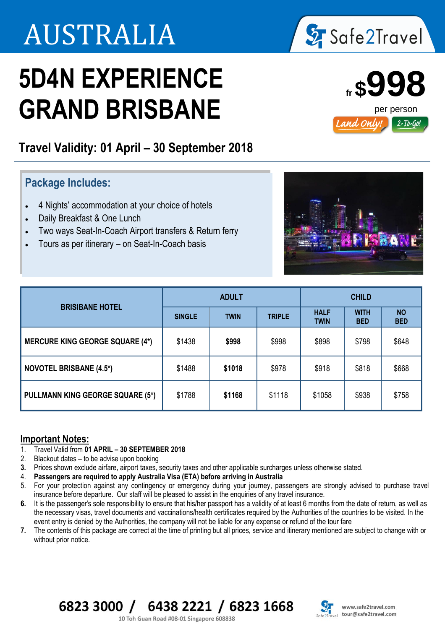# AUSTRALIA

# **5D4N EXPERIENCE GRAND BRISBANE**

### **Travel Validity: 01 April – 30 September 2018**

l

### **Package Includes:**

- 4 Nights' accommodation at your choice of hotels
- Daily Breakfast & One Lunch
- Two ways Seat-In-Coach Airport transfers & Return ferry
- Tours as per itinerary on Seat-In-Coach basis



## **Important Notes:**<br>1 Travel Valid from 0

- 1. Travel Valid from **01 APRIL – 30 SEPTEMBER 2018**
- 2. Blackout dates to be advise upon booking
- **3.** Prices shown exclude airfare, airport taxes, security taxes and other applicable surcharges unless otherwise stated.
- 4. **Passengers are required to apply Australia Visa (ETA) before arriving in Australia**
- 5. For your protection against any contingency or emergency during your journey, passengers are strongly advised to purchase travel insurance before departure. Our staff will be pleased to assist in the enquiries of any travel insurance.
- **6.** It is the passenger's sole responsibility to ensure that his/her passport has a validity of at least 6 months from the date of return, as well as the necessary visas, travel documents and vaccinations/health certificates required by the Authorities of the countries to be visited. In the event entry is denied by the Authorities, the company will not be liable for any expense or refund of the tour fare
- **7.** The contents of this package are correct at the time of printing but all prices, service and itinerary mentioned are subject to change with or without prior notice.

#### 6823 3000 / 6438 2221 / 6823 1668

10 Toh Guan Road #08-01 Singapore 608838